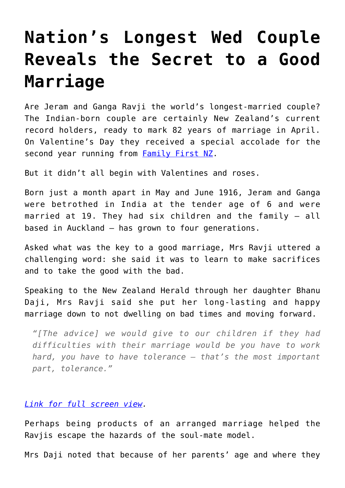## **[Nation's Longest Wed Couple](https://intellectualtakeout.org/2017/02/nations-longest-wed-couple-reveals-the-secret-to-a-good-marriage/) [Reveals the Secret to a Good](https://intellectualtakeout.org/2017/02/nations-longest-wed-couple-reveals-the-secret-to-a-good-marriage/) [Marriage](https://intellectualtakeout.org/2017/02/nations-longest-wed-couple-reveals-the-secret-to-a-good-marriage/)**

Are Jeram and Ganga Ravji the world's longest-married couple? The Indian-born couple are certainly New Zealand's current record holders, ready to mark 82 years of marriage in April. On Valentine's Day they received a special accolade for the second year running from **[Family First NZ.](https://www.familyfirst.org.nz/2017/02/married-82-years-and-still-going-strong/)** 

But it didn't all begin with Valentines and roses.

Born just a month apart in May and June 1916, Jeram and Ganga were betrothed in India at the tender age of 6 and were married at 19. They had six children and the family – all based in Auckland – has grown to four generations.

Asked what was the key to a good marriage, Mrs Ravji uttered a challenging word: she said it was to learn to make sacrifices and to take the good with the bad.

Speaking to the New Zealand Herald through her daughter Bhanu Daji, Mrs Ravji said she put her long-lasting and happy marriage down to not dwelling on bad times and moving forward.

*"[The advice] we would give to our children if they had difficulties with their marriage would be you have to work hard, you have to have tolerance – that's the most important part, tolerance."*

## *[Link for full screen view.](http://www.nzherald.co.nz/lifestyle/news/article.cfm?c_id=6&objectid=11799925)*

Perhaps being products of an arranged marriage helped the Ravjis escape the hazards of the soul-mate model.

Mrs Daji noted that because of her parents' age and where they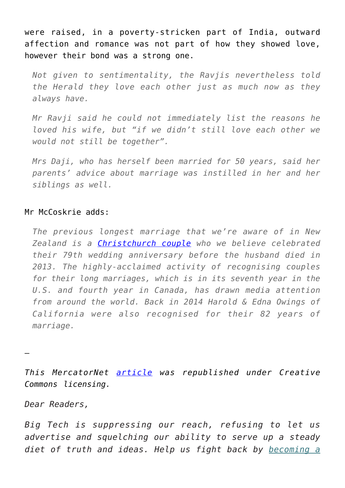were raised, in a poverty-stricken part of India, outward affection and romance was not part of how they showed love, however their bond was a strong one.

*Not given to sentimentality, the Ravjis nevertheless told the Herald they love each other just as much now as they always have.*

*Mr Ravji said he could not immediately list the reasons he loved his wife, but "if we didn't still love each other we would not still be together".*

*Mrs Daji, who has herself been married for 50 years, said her parents' advice about marriage was instilled in her and her siblings as well.*

## Mr McCoskrie adds:

*The previous longest marriage that we're aware of in New Zealand is a [Christchurch couple](http://familyfirst.us2.list-manage.com/track/click?u=0cd68702160c587ec85116fce&id=f8ebe48fc5&e=47acfee82b) who we believe celebrated their 79th wedding anniversary before the husband died in 2013. The highly-acclaimed activity of recognising couples for their long marriages, which is in its seventh year in the U.S. and fourth year in Canada, has drawn media attention from around the world. Back in 2014 Harold & Edna Owings of California were also recognised for their 82 years of marriage.*

—

*This MercatorNet [article](https://www.mercatornet.com/conjugality/view/gender-affirming-bathroom-policies-are-quackery/19349) was republished under Creative Commons licensing.*

*Dear Readers,*

*Big Tech is suppressing our reach, refusing to let us advertise and squelching our ability to serve up a steady diet of truth and ideas. Help us fight back by [becoming a](https://www.chroniclesmagazine.org/subscribe/)*